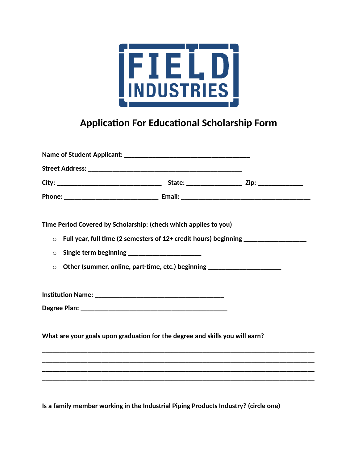

## **Application For Educational Scholarship Form**

|                                                                                             | Time Period Covered by Scholarship: (check which applies to you)             |                                                                                   |  |  |
|---------------------------------------------------------------------------------------------|------------------------------------------------------------------------------|-----------------------------------------------------------------------------------|--|--|
| $\circ$                                                                                     |                                                                              | Full year, full time (2 semesters of 12+ credit hours) beginning ________________ |  |  |
| $\circ$                                                                                     |                                                                              |                                                                                   |  |  |
| Other (summer, online, part-time, etc.) beginning ______________________________<br>$\circ$ |                                                                              |                                                                                   |  |  |
|                                                                                             |                                                                              |                                                                                   |  |  |
|                                                                                             |                                                                              |                                                                                   |  |  |
|                                                                                             | What are your goals upon graduation for the degree and skills you will earn? |                                                                                   |  |  |
|                                                                                             |                                                                              |                                                                                   |  |  |
|                                                                                             |                                                                              |                                                                                   |  |  |
|                                                                                             |                                                                              |                                                                                   |  |  |
|                                                                                             |                                                                              |                                                                                   |  |  |

**Is a family member working in the Industrial Piping Products Industry? (circle one)**